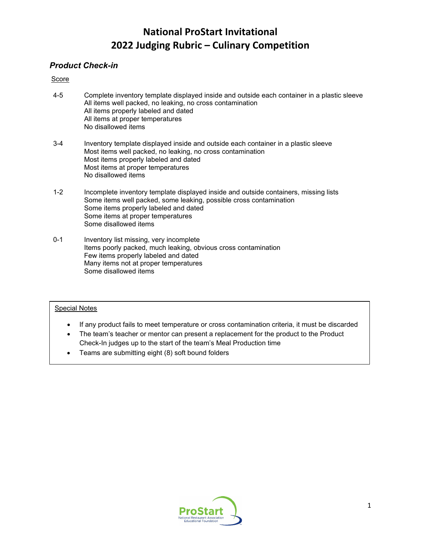### *Product Check-in*

### Score

- 4-5 Complete inventory template displayed inside and outside each container in a plastic sleeve All items well packed, no leaking, no cross contamination All items properly labeled and dated All items at proper temperatures No disallowed items
- 3-4 Inventory template displayed inside and outside each container in a plastic sleeve Most items well packed, no leaking, no cross contamination Most items properly labeled and dated Most items at proper temperatures No disallowed items
- 1-2 Incomplete inventory template displayed inside and outside containers, missing lists Some items well packed, some leaking, possible cross contamination Some items properly labeled and dated Some items at proper temperatures Some disallowed items
- 0-1 Inventory list missing, very incomplete Items poorly packed, much leaking, obvious cross contamination Few items properly labeled and dated Many items not at proper temperatures Some disallowed items

- If any product fails to meet temperature or cross contamination criteria, it must be discarded
- The team's teacher or mentor can present a replacement for the product to the Product Check-In judges up to the start of the team's Meal Production time
- Teams are submitting eight (8) soft bound folders

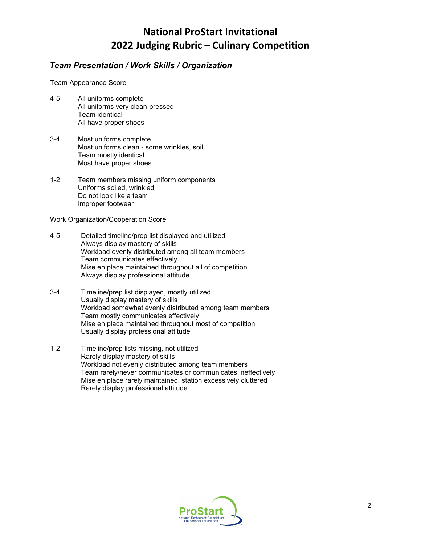### *Team Presentation / Work Skills / Organization*

#### Team Appearance Score

- 4-5 All uniforms complete All uniforms very clean-pressed Team identical All have proper shoes
- 3-4 Most uniforms complete Most uniforms clean - some wrinkles, soil Team mostly identical Most have proper shoes
- 1-2 Team members missing uniform components Uniforms soiled, wrinkled Do not look like a team Improper footwear

#### Work Organization/Cooperation Score

- 4-5 Detailed timeline/prep list displayed and utilized Always display mastery of skills Workload evenly distributed among all team members Team communicates effectively Mise en place maintained throughout all of competition Always display professional attitude
- 3-4 Timeline/prep list displayed, mostly utilized Usually display mastery of skills Workload somewhat evenly distributed among team members Team mostly communicates effectively Mise en place maintained throughout most of competition Usually display professional attitude
- 1-2 Timeline/prep lists missing, not utilized Rarely display mastery of skills Workload not evenly distributed among team members Team rarely/never communicates or communicates ineffectively Mise en place rarely maintained, station excessively cluttered Rarely display professional attitude

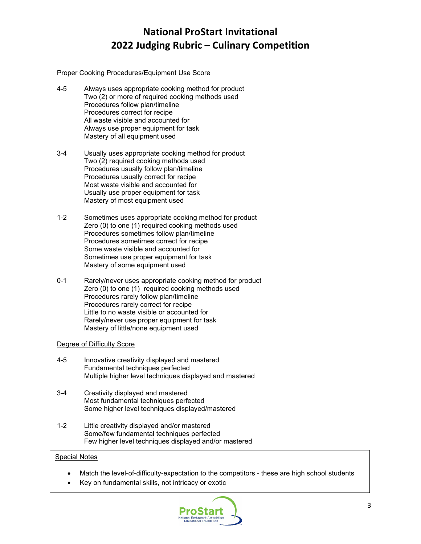#### Proper Cooking Procedures/Equipment Use Score

- 4-5 Always uses appropriate cooking method for product Two (2) or more of required cooking methods used Procedures follow plan/timeline Procedures correct for recipe All waste visible and accounted for Always use proper equipment for task Mastery of all equipment used
- 3-4 Usually uses appropriate cooking method for product Two (2) required cooking methods used Procedures usually follow plan/timeline Procedures usually correct for recipe Most waste visible and accounted for Usually use proper equipment for task Mastery of most equipment used
- 1-2 Sometimes uses appropriate cooking method for product Zero (0) to one (1) required cooking methods used Procedures sometimes follow plan/timeline Procedures sometimes correct for recipe Some waste visible and accounted for Sometimes use proper equipment for task Mastery of some equipment used
- 0-1 Rarely/never uses appropriate cooking method for product Zero (0) to one (1) required cooking methods used Procedures rarely follow plan/timeline Procedures rarely correct for recipe Little to no waste visible or accounted for Rarely/never use proper equipment for task Mastery of little/none equipment used

#### Degree of Difficulty Score

- 4-5 Innovative creativity displayed and mastered Fundamental techniques perfected Multiple higher level techniques displayed and mastered
- 3-4 Creativity displayed and mastered Most fundamental techniques perfected Some higher level techniques displayed/mastered
- 1-2 Little creativity displayed and/or mastered Some/few fundamental techniques perfected Few higher level techniques displayed and/or mastered

- Match the level-of-difficulty-expectation to the competitors these are high school students
- Key on fundamental skills, not intricacy or exotic

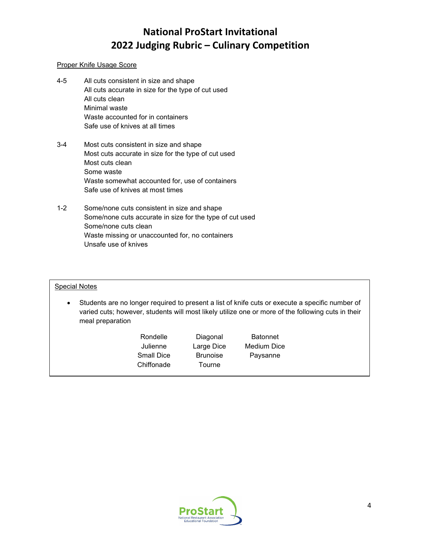### Proper Knife Usage Score

- 4-5 All cuts consistent in size and shape All cuts accurate in size for the type of cut used All cuts clean Minimal waste Waste accounted for in containers Safe use of knives at all times
- 3-4 Most cuts consistent in size and shape Most cuts accurate in size for the type of cut used Most cuts clean Some waste Waste somewhat accounted for, use of containers Safe use of knives at most times
- 1-2 Some/none cuts consistent in size and shape Some/none cuts accurate in size for the type of cut used Some/none cuts clean Waste missing or unaccounted for, no containers Unsafe use of knives

- Students are no longer required to present a list of knife cuts or execute a specific number of varied cuts; however, students will most likely utilize one or more of the following cuts in their meal preparation
	- Rondelle Diagonal Batonnet Julienne Large Dice Medium Dice Small Dice Brunoise Paysanne Chiffonade Tourne

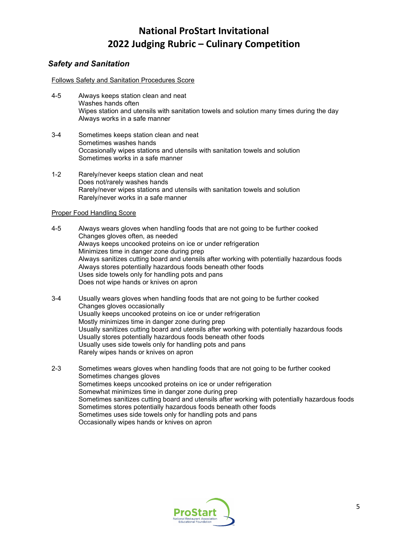### *Safety and Sanitation*

#### Follows Safety and Sanitation Procedures Score

- 4-5 Always keeps station clean and neat Washes hands often Wipes station and utensils with sanitation towels and solution many times during the day Always works in a safe manner
- 3-4 Sometimes keeps station clean and neat Sometimes washes hands Occasionally wipes stations and utensils with sanitation towels and solution Sometimes works in a safe manner
- 1-2 Rarely/never keeps station clean and neat Does not/rarely washes hands Rarely/never wipes stations and utensils with sanitation towels and solution Rarely/never works in a safe manner

#### Proper Food Handling Score

4-5 Always wears gloves when handling foods that are not going to be further cooked Changes gloves often, as needed Always keeps uncooked proteins on ice or under refrigeration Minimizes time in danger zone during prep Always sanitizes cutting board and utensils after working with potentially hazardous foods Always stores potentially hazardous foods beneath other foods Uses side towels only for handling pots and pans Does not wipe hands or knives on apron

- 3-4 Usually wears gloves when handling foods that are not going to be further cooked Changes gloves occasionally Usually keeps uncooked proteins on ice or under refrigeration Mostly minimizes time in danger zone during prep Usually sanitizes cutting board and utensils after working with potentially hazardous foods Usually stores potentially hazardous foods beneath other foods Usually uses side towels only for handling pots and pans Rarely wipes hands or knives on apron
- 2-3 Sometimes wears gloves when handling foods that are not going to be further cooked Sometimes changes gloves Sometimes keeps uncooked proteins on ice or under refrigeration Somewhat minimizes time in danger zone during prep Sometimes sanitizes cutting board and utensils after working with potentially hazardous foods Sometimes stores potentially hazardous foods beneath other foods Sometimes uses side towels only for handling pots and pans Occasionally wipes hands or knives on apron

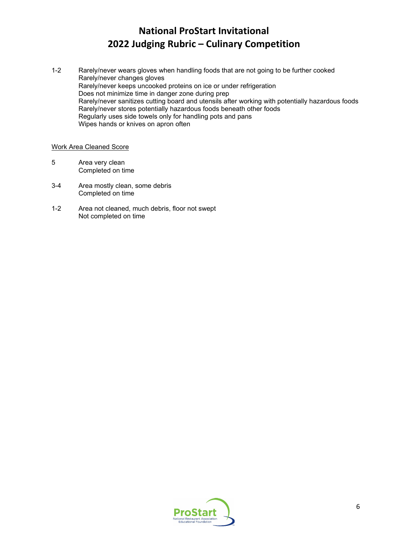1-2 Rarely/never wears gloves when handling foods that are not going to be further cooked Rarely/never changes gloves Rarely/never keeps uncooked proteins on ice or under refrigeration Does not minimize time in danger zone during prep Rarely/never sanitizes cutting board and utensils after working with potentially hazardous foods Rarely/never stores potentially hazardous foods beneath other foods Regularly uses side towels only for handling pots and pans Wipes hands or knives on apron often

### Work Area Cleaned Score

- 5 Area very clean Completed on time
- 3-4 Area mostly clean, some debris Completed on time
- 1-2 Area not cleaned, much debris, floor not swept Not completed on time

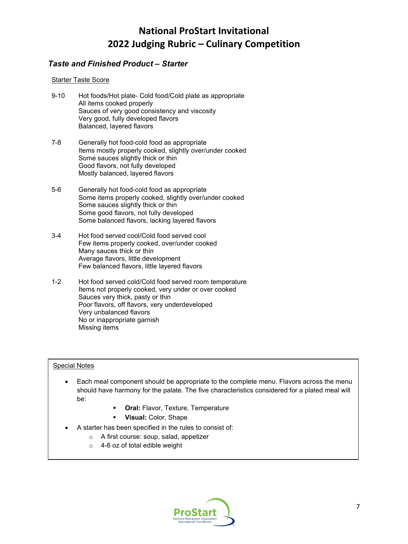### *Taste and Finished Product – Starter*

### Starter Taste Score

- 9-10 Hot foods/Hot plate- Cold food/Cold plate as appropriate All items cooked properly Sauces of very good consistency and viscosity Very good, fully developed flavors Balanced, layered flavors
- 7-8 Generally hot food-cold food as appropriate Items mostly properly cooked, slightly over/under cooked Some sauces slightly thick or thin Good flavors, not fully developed Mostly balanced, layered flavors
- 5-6 Generally hot food-cold food as appropriate Some items properly cooked, slightly over/under cooked Some sauces slightly thick or thin Some good flavors, not fully developed Some balanced flavors, lacking layered flavors
- 3-4 Hot food served cool/Cold food served cool Few items properly cooked, over/under cooked Many sauces thick or thin Average flavors, little development Few balanced flavors, little layered flavors
- 1-2 Hot food served cold/Cold food served room temperature Items not properly cooked, very under or over cooked Sauces very thick, pasty or thin Poor flavors, off flavors, very underdeveloped Very unbalanced flavors No or inappropriate garnish Missing items

- Each meal component should be appropriate to the complete menu. Flavors across the menu should have harmony for the palate. The five characteristics considered for a plated meal will be:
	- **Oral: Flavor, Texture, Temperature**
	- **Visual:** Color, Shape
- A starter has been specified in the rules to consist of:
	- o A first course: soup, salad, appetizer
	- o 4-6 oz of total edible weight

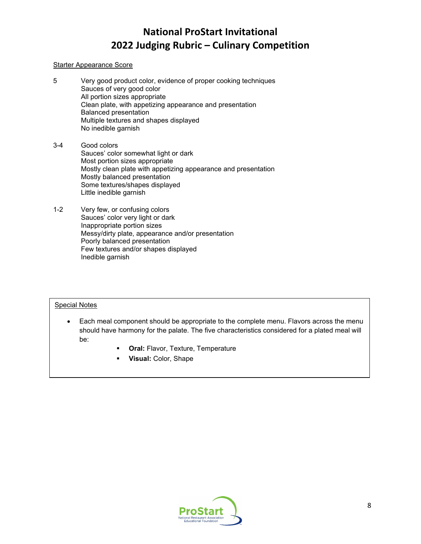### Starter Appearance Score

- 5 Very good product color, evidence of proper cooking techniques Sauces of very good color All portion sizes appropriate Clean plate, with appetizing appearance and presentation Balanced presentation Multiple textures and shapes displayed No inedible garnish
- 3-4 Good colors Sauces' color somewhat light or dark Most portion sizes appropriate Mostly clean plate with appetizing appearance and presentation Mostly balanced presentation Some textures/shapes displayed Little inedible garnish
- 1-2 Very few, or confusing colors Sauces' color very light or dark Inappropriate portion sizes Messy/dirty plate, appearance and/or presentation Poorly balanced presentation Few textures and/or shapes displayed Inedible garnish

- Each meal component should be appropriate to the complete menu. Flavors across the menu should have harmony for the palate. The five characteristics considered for a plated meal will be:
	- **Oral:** Flavor, Texture, Temperature
	- **Visual:** Color, Shape

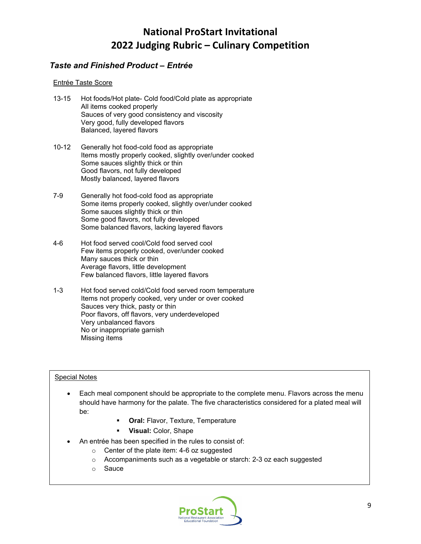### *Taste and Finished Product – Entrée*

### Entrée Taste Score

- 13-15 Hot foods/Hot plate- Cold food/Cold plate as appropriate All items cooked properly Sauces of very good consistency and viscosity Very good, fully developed flavors Balanced, layered flavors
- 10-12 Generally hot food-cold food as appropriate Items mostly properly cooked, slightly over/under cooked Some sauces slightly thick or thin Good flavors, not fully developed Mostly balanced, layered flavors
- 7-9 Generally hot food-cold food as appropriate Some items properly cooked, slightly over/under cooked Some sauces slightly thick or thin Some good flavors, not fully developed Some balanced flavors, lacking layered flavors
- 4-6 Hot food served cool/Cold food served cool Few items properly cooked, over/under cooked Many sauces thick or thin Average flavors, little development Few balanced flavors, little layered flavors
- 1-3 Hot food served cold/Cold food served room temperature Items not properly cooked, very under or over cooked Sauces very thick, pasty or thin Poor flavors, off flavors, very underdeveloped Very unbalanced flavors No or inappropriate garnish Missing items

- Each meal component should be appropriate to the complete menu. Flavors across the menu should have harmony for the palate. The five characteristics considered for a plated meal will be:
	- **Oral:** Flavor, Texture, Temperature
	- **Visual:** Color, Shape
- An entrée has been specified in the rules to consist of:
	- o Center of the plate item: 4-6 oz suggested
	- o Accompaniments such as a vegetable or starch: 2-3 oz each suggested
	- o Sauce

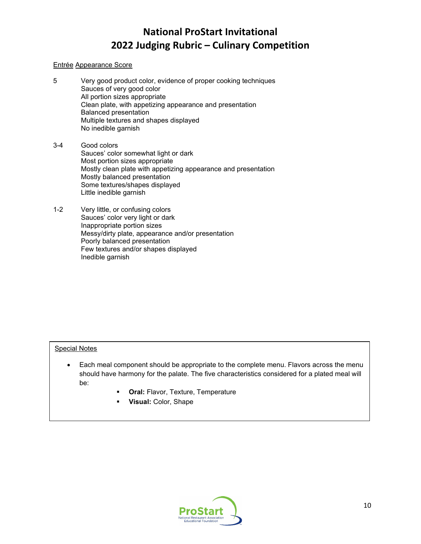### Entrée Appearance Score

- 5 Very good product color, evidence of proper cooking techniques Sauces of very good color All portion sizes appropriate Clean plate, with appetizing appearance and presentation Balanced presentation Multiple textures and shapes displayed No inedible garnish
- 3-4 Good colors Sauces' color somewhat light or dark Most portion sizes appropriate Mostly clean plate with appetizing appearance and presentation Mostly balanced presentation Some textures/shapes displayed Little inedible garnish
- 1-2 Very little, or confusing colors Sauces' color very light or dark Inappropriate portion sizes Messy/dirty plate, appearance and/or presentation Poorly balanced presentation Few textures and/or shapes displayed Inedible garnish

- Each meal component should be appropriate to the complete menu. Flavors across the menu should have harmony for the palate. The five characteristics considered for a plated meal will be:
	- **Oral:** Flavor, Texture, Temperature
	- **Visual:** Color, Shape

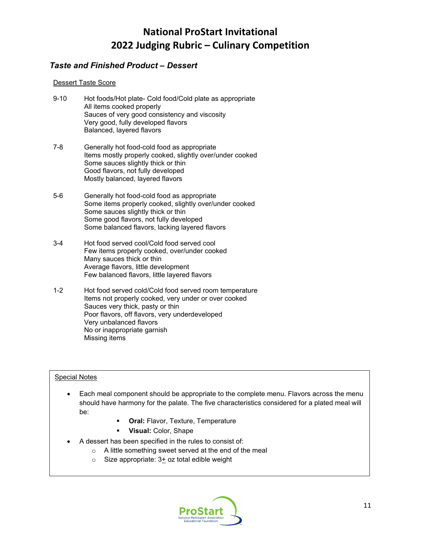### *Taste and Finished Product – Dessert*

### Dessert Taste Score

- 9-10 Hot foods/Hot plate- Cold food/Cold plate as appropriate All items cooked properly Sauces of very good consistency and viscosity Very good, fully developed flavors Balanced, layered flavors
- 7-8 Generally hot food-cold food as appropriate Items mostly properly cooked, slightly over/under cooked Some sauces slightly thick or thin Good flavors, not fully developed Mostly balanced, layered flavors
- 5-6 Generally hot food-cold food as appropriate Some items properly cooked, slightly over/under cooked Some sauces slightly thick or thin Some good flavors, not fully developed Some balanced flavors, lacking layered flavors
- 3-4 Hot food served cool/Cold food served cool Few items properly cooked, over/under cooked Many sauces thick or thin Average flavors, little development Few balanced flavors, little layered flavors
- 1-2 Hot food served cold/Cold food served room temperature Items not properly cooked, very under or over cooked Sauces very thick, pasty or thin Poor flavors, off flavors, very underdeveloped Very unbalanced flavors No or inappropriate garnish Missing items

- Each meal component should be appropriate to the complete menu. Flavors across the menu should have harmony for the palate. The five characteristics considered for a plated meal will be:
	- **Oral:** Flavor, Texture, Temperature
	- **Visual:** Color, Shape
- A dessert has been specified in the rules to consist of:
	- o A little something sweet served at the end of the meal
		- $\circ$  Size appropriate: 3+ oz total edible weight

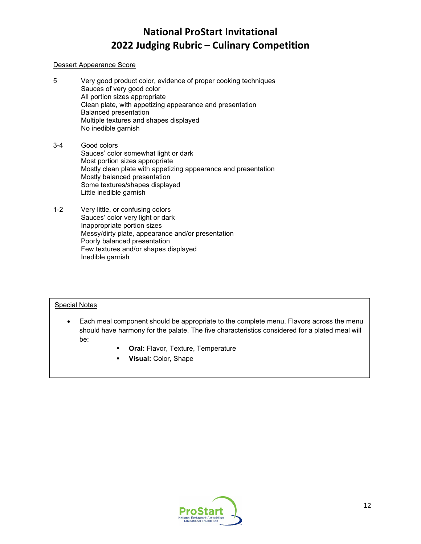### Dessert Appearance Score

- 5 Very good product color, evidence of proper cooking techniques Sauces of very good color All portion sizes appropriate Clean plate, with appetizing appearance and presentation Balanced presentation Multiple textures and shapes displayed No inedible garnish
- 3-4 Good colors Sauces' color somewhat light or dark Most portion sizes appropriate Mostly clean plate with appetizing appearance and presentation Mostly balanced presentation Some textures/shapes displayed Little inedible garnish
- 1-2 Very little, or confusing colors Sauces' color very light or dark Inappropriate portion sizes Messy/dirty plate, appearance and/or presentation Poorly balanced presentation Few textures and/or shapes displayed Inedible garnish

- Each meal component should be appropriate to the complete menu. Flavors across the menu should have harmony for the palate. The five characteristics considered for a plated meal will be:
	- **Oral:** Flavor, Texture, Temperature
	- **Visual:** Color, Shape